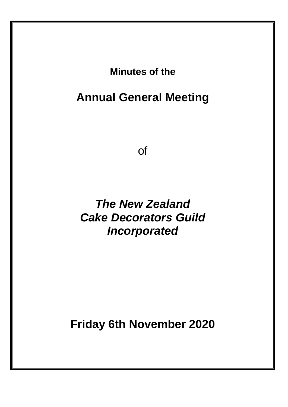**Minutes of the**

**Annual General Meeting**

of

*The New Zealand Cake Decorators Guild Incorporated*

**Friday 6th November 2020**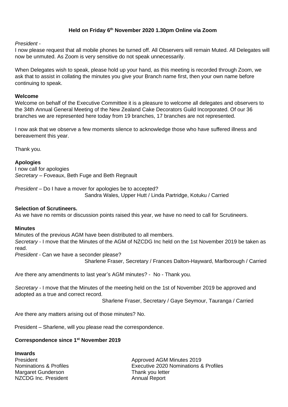## **Held on Friday 6 th November 2020 1.30pm Online via Zoom**

*President* -

I now please request that all mobile phones be turned off. All Observers will remain Muted. All Delegates will now be unmuted. As Zoom is very sensitive do not speak unnecessarily.

When Delegates wish to speak, please hold up your hand, as this meeting is recorded through Zoom, we ask that to assist in collating the minutes you give your Branch name first, then your own name before continuing to speak.

#### **Welcome**

Welcome on behalf of the Executive Committee it is a pleasure to welcome all delegates and observers to the 34th Annual General Meeting of the New Zealand Cake Decorators Guild Incorporated. Of our 36 branches we are represented here today from 19 branches, 17 branches are not represented.

I now ask that we observe a few moments silence to acknowledge those who have suffered illness and bereavement this year.

Thank you.

#### **Apologies**

I now call for apologies *Secretary* – Foveaux, Beth Fuge and Beth Regnault

*President* – Do I have a mover for apologies be to accepted? Sandra Wales, Upper Hutt / Linda Partridge, Kotuku / Carried

#### **Selection of Scrutineers.**

As we have no remits or discussion points raised this year, we have no need to call for Scrutineers.

#### **Minutes**

Minutes of the previous AGM have been distributed to all members. *Secretary* - I move that the Minutes of the AGM of NZCDG Inc held on the 1st November 2019 be taken as read.

*President* - Can we have a seconder please? Sharlene Fraser, Secretary / Frances Dalton-Hayward, Marlborough / Carried

Are there any amendments to last year's AGM minutes? - No - Thank you.

*Secretary -* I move that the Minutes of the meeting held on the 1st of November 2019 be approved and adopted as a true and correct record.

Sharlene Fraser, Secretary / Gaye Seymour, Tauranga / Carried

Are there any matters arising out of those minutes? No.

President – Sharlene, will you please read the correspondence.

#### **Correspondence since 1 st November 2019**

**Inwards** Margaret Gunderson Thank you letter NZCDG Inc. President Annual Report

**President Approved AGM Minutes 2019** Nominations & Profiles Executive 2020 Nominations & Profiles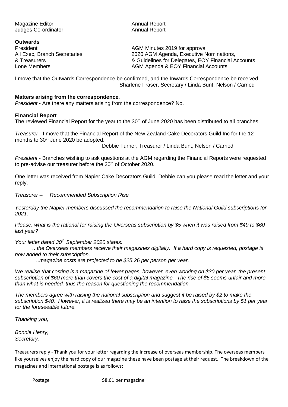Magazine Editor **Annual Report** Annual Report Judges Co-ordinator **Annual Report** 

**Outwards**

President **AGM Minutes 2019 for approval** All Exec, Branch Secretaries 2020 AGM Agenda, Executive Nominations, & Treasurers & Guidelines for Delegates, EOY Financial Accounts Lone Members **AGM Agenda & EOY Financial Accounts** AGM Agenda & EOY Financial Accounts

I move that the Outwards Correspondence be confirmed, and the Inwards Correspondence be received. Sharlene Fraser, Secretary / Linda Bunt, Nelson / Carried

#### **Matters arising from the correspondence.**

*President* - Are there any matters arising from the correspondence? No.

## **Financial Report**

The reviewed Financial Report for the year to the 30<sup>th</sup> of June 2020 has been distributed to all branches.

*Treasurer* - I move that the Financial Report of the New Zealand Cake Decorators Guild Inc for the 12 months to 30<sup>th</sup> June 2020 be adopted.

Debbie Turner, Treasurer / Linda Bunt, Nelson / Carried

*President* - Branches wishing to ask questions at the AGM regarding the Financial Reports were requested to pre-advise our treasurer before the 20<sup>th</sup> of October 2020.

One letter was received from Napier Cake Decorators Guild. Debbie can you please read the letter and your reply.

*Treasurer* – *Recommended Subscription Rise*

*Yesterday the Napier members discussed the recommendation to raise the National Guild subscriptions for 2021.*

*Please, what is the rational for raising the Overseas subscription by \$5 when it was raised from \$49 to \$60 last year?*

*Your letter dated 30th September 2020 states:*

*.. the Overseas members receive their magazines digitally. If a hard copy is requested, postage is now added to their subscription.*

*…magazine costs are projected to be \$25.26 per person per year.* 

*We realise that costing is a magazine of fewer pages, however, even working on \$30 per year, the present subscription of \$60 more than covers the cost of a digital magazine. The rise of \$5 seems unfair and more than what is needed, thus the reason for questioning the recommendation.* 

*The members agree with raising the national subscription and suggest it be raised by \$2 to make the subscription \$40. However, it is realized there may be an intention to raise the subscriptions by \$1 per year for the foreseeable future.* 

*Thanking you,*

*Bonnie Henry, Secretary.*

Treasurers reply *-* Thank you for your letter regarding the increase of overseas membership. The overseas members like yourselves enjoy the hard copy of our magazine these have been postage at their request. The breakdown of the magazines and international postage is as follows: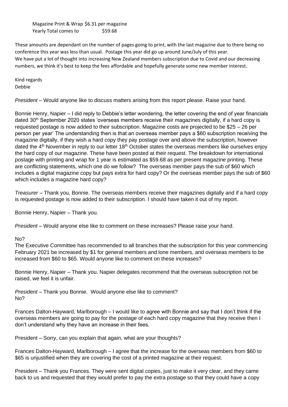Magazine Print & Wrap \$6.31 per magazine Yearly Total comes to \$59.68

These amounts are dependant on the number of pages going to print, with the last magazine due to there being no conference this year was less than usual. Postage this year did go up around June/July of this year. We have put a lot of thought into increasing New Zealand members subscription due to Covid and our decreasing numbers, we think it's best to keep the fees affordable and hopefully generate some new member interest.

Kind regards Debbie

*President* – Would anyone like to discuss matters arising from this report please. Raise your hand.

Bonnie Henry, Napier – I did reply to Debbie's letter wondering, the letter covering the end of year financials dated 30<sup>th</sup> September 2020 states 'overseas members receive their magazines digitally, if a hard copy is requested postage is now added to their subscription. Magazine costs are projected to be \$25 – 26 per person per year' The understanding then is that an overseas member pays a \$60 subscription receiving the magazine digitally, if they wish a hard copy they pay postage over and above the subscription, however dated the 4<sup>th</sup> November in reply to our letter 18<sup>th</sup> October states the overseas members like ourselves enjoy the hard copy of our magazine. These have been posted at their request. The breakdown for international postage with printing and wrap for 1 year is estimated as \$59.68 as per present magazine printing. These are conflicting statements, which one do we follow? The overseas member pays the sub of \$60 which includes a digital magazine copy but pays extra for hard copy? Or the overseas member pays the sub of \$60 which includes a magazine hard copy?

*Treasurer* – Thank you, Bonnie. The overseas members receive their magazines digitally and if a hard copy is requested postage is now added to their subscription. I should have taken it out of my report.

Bonnie Henry, Napier – Thank you.

*President* – Would anyone else like to comment on these increases? Please raise your hand.

#### No?

The Executive Committee has recommended to all branches that the subscription for this year commencing February 2021 be increased by \$1 for general members and lone members, and overseas members to be increased from \$60 to \$65. Would anyone like to comment on these increases?

Bonnie Henry, Napier – Thank you. Napier delegates recommend that the overseas subscription not be raised, we feel it is unfair.

*President* – Thank you Bonnie. Would anyone else like to comment? No?

Frances Dalton-Hayward, Marlborough – I would like to agree with Bonnie and say that I don't think if the overseas members are going to pay for the postage of each hard copy magazine that they receive then I don't understand why they have an increase in their fees.

President – Sorry, can you explain that again, what are your thoughts?

Frances Dalton-Hayward, Marlborough – I agree that the increase for the overseas members from \$60 to \$65 is unjustified when they are covering the cost of a printed magazine at their request.

President – Thank you Frances. They were sent digital copies, just to make it very clear, and they came back to us and requested that they would prefer to pay the extra postage so that they could have a copy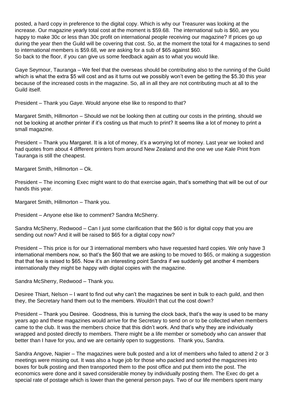posted, a hard copy in preference to the digital copy. Which is why our Treasurer was looking at the increase. Our magazine yearly total cost at the moment is \$59.68. The international sub is \$60, are you happy to make 30c or less than 30c profit on international people receiving our magazine? If prices go up during the year then the Guild will be covering that cost. So, at the moment the total for 4 magazines to send to international members is \$59.68, we are asking for a sub of \$65 against \$60. So back to the floor, if you can give us some feedback again as to what you would like.

Gaye Seymour, Tauranga – We feel that the overseas should be contributing also to the running of the Guild which is what the extra \$5 will cost and as it turns out we possibly won't even be getting the \$5.30 this year because of the increased costs in the magazine. So, all in all they are not contributing much at all to the Guild itself.

President – Thank you Gaye. Would anyone else like to respond to that?

Margaret Smith, Hillmorton – Should we not be looking then at cutting our costs in the printing, should we not be looking at another printer if it's costing us that much to print? It seems like a lot of money to print a small magazine.

President – Thank you Margaret. It is a lot of money, it's a worrying lot of money. Last year we looked and had quotes from about 4 different printers from around New Zealand and the one we use Kale Print from Tauranga is still the cheapest.

Margaret Smith, Hillmorton – Ok.

President – The incoming Exec might want to do that exercise again, that's something that will be out of our hands this year.

Margaret Smith, Hillmorton – Thank you.

President – Anyone else like to comment? Sandra McSherry.

Sandra McSherry, Redwood – Can I just some clarification that the \$60 is for digital copy that you are sending out now? And it will be raised to \$65 for a digital copy now?

President – This price is for our 3 international members who have requested hard copies. We only have 3 international members now, so that's the \$60 that we are asking to be moved to \$65, or making a suggestion that that fee is raised to \$65. Now it's an interesting point Sandra if we suddenly get another 4 members internationally they might be happy with digital copies with the magazine.

Sandra McSherry, Redwood – Thank you.

Desiree Thiart, Nelson – I want to find out why can't the magazines be sent in bulk to each guild, and then they, the Secretary hand them out to the members. Wouldn't that cut the cost down?

President – Thank you Desiree. Goodness, this is turning the clock back, that's the way is used to be many years ago and these magazines would arrive for the Secretary to send on or to be collected when members came to the club. It was the members choice that this didn't work. And that's why they are individually wrapped and posted directly to members. There might be a life member or somebody who can answer that better than I have for you, and we are certainly open to suggestions. Thank you, Sandra.

Sandra Angove, Napier – The magazines were bulk posted and a lot of members who failed to attend 2 or 3 meetings were missing out. It was also a huge job for those who packed and sorted the magazines into boxes for bulk posting and then transported them to the post office and put them into the post. The economics were done and it saved considerable money by individually posting them. The Exec do get a special rate of postage which is lower than the general person pays. Two of our life members spent many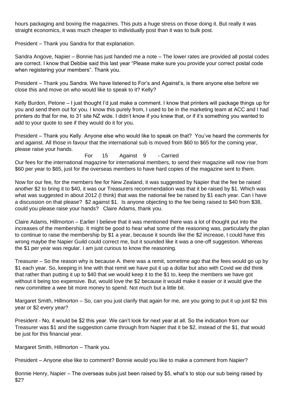hours packaging and boxing the magazines. This puts a huge stress on those doing it. But really it was straight economics, it was much cheaper to individually post than it was to bulk post.

President – Thank you Sandra for that explanation.

Sandra Angove, Napier – Bonnie has just handed me a note – The lower rates are provided all postal codes are correct. I know that Debbie said this last year "Please make sure you provide your correct postal code when registering your members". Thank you.

President – Thank you Sandra. We have listened to For's and Against's, is there anyone else before we close this and move on who would like to speak to it? Kelly?

Kelly Burdon, Petone – I just thought I'd just make a comment. I know that printers will package things up for you and send them out for you. I know this purely from, I used to be in the marketing team at ACC and I had printers do that for me, to 31 site NZ wide. I didn't know if you knew that, or if it's something you wanted to add to your quote to see if they would do it for you.

President – Thank you Kelly. Anyone else who would like to speak on that? You've heard the comments for and against. All those in favour that the international sub is moved from \$60 to \$65 for the coming year, please raise your hands.

For 15 Against 9 - Carried Our fees for the international magazine for international members, to send their magazine will now rise from \$60 per year to \$65, just for the overseas members to have hard copies of the magazine sent to them.

Now for our fee, for the members fee for New Zealand, it was suggested by Napier that the fee be raised another \$2 to bring it to \$40, it was our Treasurers recommendation was that it be raised by \$1. Which was what was suggested in about 2012 (I think) that was the national fee be raised by \$1 each year. Can I have a discussion on that please? \$2 against \$1. Is anyone objecting to the fee being raised to \$40 from \$38, could you please raise your hands? Claire Adams, thank you.

Claire Adams, Hillmorton – Earlier I believe that it was mentioned there was a lot of thought put into the increases of the membership. It might be good to hear what some of the reasoning was, particularly the plan to continue to raise the membership by \$1 a year, because it sounds like the \$2 increase, I could have this wrong maybe the Napier Guild could correct me, but it sounded like it was a one-off suggestion. Whereas the \$1 per year was regular. I am just curious to know the reasoning.

Treasurer – So the reason why is because A. there was a remit, sometime ago that the fees would go up by \$1 each year. So, keeping in line with that remit we have put it up a dollar but also with Covid we did think that rather than putting it up to \$40 that we would keep it to the \$1 to, keep the members we have got without it being too expensive. But, would love the \$2 because it would make it easier or it would give the new committee a wee bit more money to spend. Not much but a little bit.

Margaret Smith, Hillmorton – So, can you just clarify that again for me, are you going to put it up just \$2 this year or \$2 every year?

President - No, it would be \$2 this year. We can't look for next year at all. So the indication from our Treasurer was \$1 and the suggestion came through from Napier that it be \$2, instead of the \$1, that would be just for this financial year.

Margaret Smith, Hillmorton – Thank you.

President – Anyone else like to comment? Bonnie would you like to make a comment from Napier?

Bonnie Henry, Napier – The overseas subs just been raised by \$5, what's to stop our sub being raised by \$2?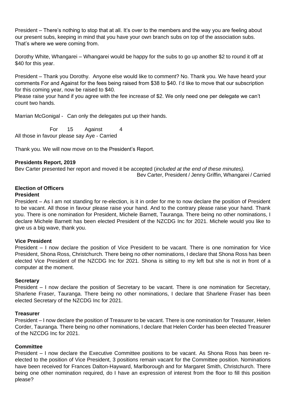President – There's nothing to stop that at all. It's over to the members and the way you are feeling about our present subs, keeping in mind that you have your own branch subs on top of the association subs. That's where we were coming from.

Dorothy White, Whangarei – Whangarei would be happy for the subs to go up another \$2 to round it off at \$40 for this year.

President – Thank you Dorothy. Anyone else would like to comment? No. Thank you. We have heard your comments For and Against for the fees being raised from \$38 to \$40. I'd like to move that our subscription for this coming year, now be raised to \$40.

Please raise your hand if you agree with the fee increase of \$2. We only need one per delegate we can't count two hands.

Marrian McGonigal - Can only the delegates put up their hands.

For 15 Against 4 All those in favour please say Aye - Carried

Thank you. We will now move on to the President's Report.

#### **Presidents Report, 2019**

Bev Carter presented her report and moved it be accepted (*included at the end of these minutes).* Bev Carter, President / Jenny Griffin, Whangarei / Carried

# **Election of Officers**

#### **President**

President – As I am not standing for re-election, is it in order for me to now declare the position of President to be vacant. All those in favour please raise your hand. And to the contrary please raise your hand. Thank you. There is one nomination for President, Michele Barnett, Tauranga. There being no other nominations, I declare Michele Barnett has been elected President of the NZCDG Inc for 2021. Michele would you like to give us a big wave, thank you.

#### **Vice President**

President – I now declare the position of Vice President to be vacant. There is one nomination for Vice President, Shona Ross, Christchurch. There being no other nominations, I declare that Shona Ross has been elected Vice President of the NZCDG Inc for 2021. Shona is sitting to my left but she is not in front of a computer at the moment.

#### **Secretary**

President – I now declare the position of Secretary to be vacant. There is one nomination for Secretary, Sharlene Fraser, Tauranga. There being no other nominations, I declare that Sharlene Fraser has been elected Secretary of the NZCDG Inc for 2021.

#### **Treasurer**

President – I now declare the position of Treasurer to be vacant. There is one nomination for Treasurer, Helen Corder, Tauranga. There being no other nominations, I declare that Helen Corder has been elected Treasurer of the NZCDG Inc for 2021.

#### **Committee**

President – I now declare the Executive Committee positions to be vacant. As Shona Ross has been reelected to the position of Vice President, 3 positions remain vacant for the Committee position. Nominations have been received for Frances Dalton-Hayward, Marlborough and for Margaret Smith, Christchurch. There being one other nomination required, do I have an expression of interest from the floor to fill this position please?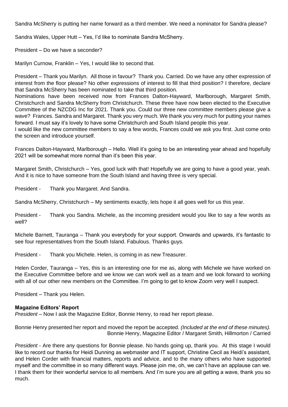Sandra McSherry is putting her name forward as a third member. We need a nominator for Sandra please?

Sandra Wales, Upper Hutt – Yes, I'd like to nominate Sandra McSherry.

President – Do we have a seconder?

Marilyn Curnow, Franklin – Yes, I would like to second that.

President – Thank you Marilyn. All those in favour? Thank you. Carried. Do we have any other expression of interest from the floor please? No other expressions of interest to fill that third position? I therefore, declare that Sandra McSherry has been nominated to take that third position.

Nominations have been received now from Frances Dalton-Hayward, Marlborough, Margaret Smith, Christchurch and Sandra McSherry from Christchurch. These three have now been elected to the Executive Committee of the NZCDG Inc for 2021. Thank you. Could our three new committee members please give a wave? Frances. Sandra and Margaret. Thank you very much. We thank you very much for putting your names forward. I must say it's lovely to have some Christchurch and South Island people this year.

I would like the new committee members to say a few words, Frances could we ask you first. Just come onto the screen and introduce yourself.

Frances Dalton-Hayward, Marlborough – Hello. Well it's going to be an interesting year ahead and hopefully 2021 will be somewhat more normal than it's been this year.

Margaret Smith, Christchurch – Yes, good luck with that! Hopefully we are going to have a good year, yeah. And it is nice to have someone from the South Island and having three is very special.

President - Thank you Margaret. And Sandra.

Sandra McSherry, Christchurch – My sentiments exactly, lets hope it all goes well for us this year.

President - Thank you Sandra. Michele, as the incoming president would you like to say a few words as well?

Michele Barnett, Tauranga – Thank you everybody for your support. Onwards and upwards, it's fantastic to see four representatives from the South Island. Fabulous. Thanks guys.

President - Thank you Michele. Helen, is coming in as new Treasurer.

Helen Corder, Tauranga – Yes, this is an interesting one for me as, along with Michele we have worked on the Executive Committee before and we know we can work well as a team and we look forward to working with all of our other new members on the Committee. I'm going to get to know Zoom very well I suspect.

President – Thank you Helen.

#### **Magazine Editors' Report**

*President* – Now I ask the Magazine Editor, Bonnie Henry, to read her report please.

Bonnie Henry presented her report and moved the report be accepted. *(Included at the end of these minutes).* Bonnie Henry, Magazine Editor / Margaret Smith, Hillmorton / Carried

*President* - Are there any questions for Bonnie please. No hands going up, thank you. At this stage I would like to record our thanks for Heidi Dunning as webmaster and IT support, Christine Cecil as Heidi's assistant, and Helen Corder with financial matters, reports and advice, and to the many others who have supported myself and the committee in so many different ways. Please join me, oh, we can't have an applause can we. I thank them for their wonderful service to all members. And I'm sure you are all getting a wave, thank you so much.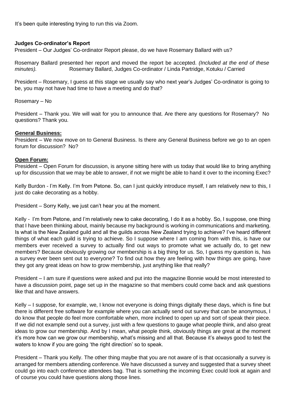It's been quite interesting trying to run this via Zoom.

#### **Judges Co-ordinator's Report**

President – Our Judges' Co-ordinator Report please, do we have Rosemary Ballard with us?

Rosemary Ballard presented her report and moved the report be accepted. *(Included at the end of these minutes).* Rosemary Ballard, Judges Co-ordinator / Linda Partridge, Kotuku / Carried

President – Rosemary, I guess at this stage we usually say who next year's Judges' Co-ordinator is going to be, you may not have had time to have a meeting and do that?

Rosemary – No

President – Thank you. We will wait for you to announce that. Are there any questions for Rosemary? No questions? Thank you.

#### **General Business:**

President – We now move on to General Business. Is there any General Business before we go to an open forum for discussion? No?

#### **Open Forum:**

President – Open Forum for discussion, is anyone sitting here with us today that would like to bring anything up for discussion that we may be able to answer, if not we might be able to hand it over to the incoming Exec?

Kelly Burdon - I'm Kelly. I'm from Petone. So, can I just quickly introduce myself, I am relatively new to this, I just do cake decorating as a hobby.

President – Sorry Kelly, we just can't hear you at the moment.

Kelly - I'm from Petone, and I'm relatively new to cake decorating, I do it as a hobby. So, I suppose, one thing that I have been thinking about, mainly because my background is working in communications and marketing. Is what is the New Zealand guild and all the guilds across New Zealand trying to achieve? I've heard different things of what each guild is trying to achieve. So I suppose where I am coming from with this, is have our members ever received a survey to actually find out ways to promote what we actually do, to get new members? Because obviously growing our membership is a big thing for us. So, I guess my question is, has a survey ever been sent out to everyone? To find out how they are feeling with how things are going, have they got any great ideas on how to grow membership, just anything like that really?

President – I am sure if questions were asked and put into the magazine Bonnie would be most interested to have a discussion point, page set up in the magazine so that members could come back and ask questions like that and have answers.

Kelly – I suppose, for example, we, I know not everyone is doing things digitally these days, which is fine but there is different free software for example where you can actually send out survey that can be anonymous, I do know that people do feel more comfortable when, more inclined to open up and sort of speak their piece. If we did not example send out a survey, just with a few questions to gauge what people think, and also great ideas to grow our membership. And by I mean, what people think, obviously things are great at the moment it's more how can we grow our membership, what's missing and all that. Because it's always good to test the waters to know if you are going 'the right direction' so to speak.

President – Thank you Kelly. The other thing maybe that you are not aware of is that occasionally a survey is arranged for members attending conference. We have discussed a survey and suggested that a survey sheet could go into each conference attendees bag. That is something the incoming Exec could look at again and of course you could have questions along those lines.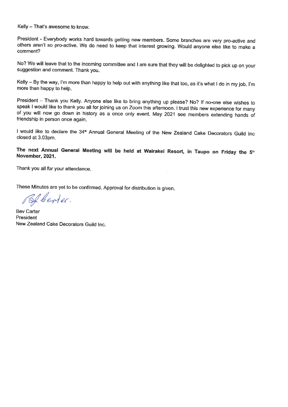Kelly - That's awesome to know.

President - Everybody works hard towards getting new members. Some branches are very pro-active and others aren't so pro-active. We do need to keep that interest growing. Would anyone else like to make a comment?

No? We will leave that to the incoming committee and I am sure that they will be delighted to pick up on your suggestion and comment. Thank you.

Kelly - By the way, I'm more than happy to help out with anything like that too, as it's what I do in my job. I'm more than happy to help.

President - Thank you Kelly. Anyone else like to bring anything up please? No? If no-one else wishes to speak I would like to thank you all for joining us on Zoom this afternoon. I trust this new experience for many of you will now go down in history as a once only event. May 2021 see members extending hands of friendship in person once again.

I would like to declare the 34<sup>th</sup> Annual General Meeting of the New Zealand Cake Decorators Guild Inc closed at 3.03pm.

## The next Annual General Meeting will be held at Wairakei Resort, in Taupo on Friday the 5th November, 2021.

Thank you all for your attendance.

These Minutes are yet to be confirmed. Approval for distribution is given.

Sf lenter.

**Bev Carter** President New Zealand Cake Decorators Guild Inc.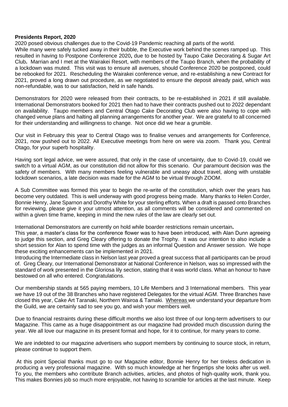#### **Presidents Report, 2020**

2020 posed obvious challenges due to the Covid-19 Pandemic reaching all parts of the world. While many were safely tucked away in their bubble, the Executive work behind the scenes ramped up. This resulted in having to Postpone Conference 2020**,** due to be hosted by Taupo Cake Decorating & Sugar Art Club**.** Marrian and I met at the Wairakei Resort, with members of the Taupo Branch, when the probability of a lockdown was muted. This visit was to ensure all avenues, should Conference 2020 be postponed, could be rebooked for 2021. Rescheduling the Wairakei conference venue, and re-establishing a new Contract for 2021, proved a long drawn out procedure, as we negotiated to ensure the deposit already paid, which was non-refundable, was to our satisfaction, held in safe hands.

Demonstrators for 2020 were released from their contracts, to be re-established in 2021 if still available. International Demonstrators booked for 2021 then had to have their contracts pushed out to 2022 dependant on availability. Taupo members and Central Otago Cake Decorating Club were also having to cope with changed venue plans and halting all planning arrangements for another year. We are grateful to all concerned for their understanding and willingness to change. Not once did we hear a grumble.

Our visit in February this year to Central Otago was to finalise venues and arrangements for Conference, 2021, now pushed out to 2022. All Executive meetings from here on were via zoom. Thank you, Central Otago, for your superb hospitality.

Having sort legal advice, we were assured, that only in the case of uncertainty, due to Covid-19, could we switch to a virtual AGM, as our constitution did not allow for this scenario. Our paramount decision was the safety of members. With many members feeling vulnerable and uneasy about travel, along with unstable lockdown scenarios, a late decision was made for the AGM to be virtual through ZOOM.

A Sub Committee was formed this year to begin the re-write of the constitution, which over the years has become very outdated. This is well underway with good progress being made. Many thanks to Helen Corder, Bonnie Henry, Jane Sparnon and Dorothy White for your sterling efforts. When a draft is passed onto Branches for reviewing, please give it your utmost attention, as all comments will be considered and commented on within a given time frame, keeping in mind the new rules of the law are clearly set out.

International Demonstrators are currently on hold while boarder restrictions remain uncertain**.** 

This year, a master's class for the conference flower was to have been introduced, with Alan Dunn agreeing to judge this section, and Greg Cleary offering to donate the Trophy. It was our intention to also include a short session for Alan to spend time with the judges as an informal Question and Answer session. We hope these exciting enhancements can be implemented in 2021.

Introducing the Intermediate class in Nelson last year proved a great success that all participants can be proud of. Greg Cleary, our International Demonstrator at National Conference in Nelson, was so impressed with the standard of work presented in the Gloriosa lily section, stating that it was world class. What an honour to have bestowed on all who entered. Congratulations.

Our membership stands at 565 paying members, 10 Life Members and 3 International members. This year we have 19 out of the 38 Branches who have registered Delegates for the virtual AGM. Three Branches have closed this year, Cake Art Taranaki, Northern Wairoa & Tamaki. Whereas we understand your departure from the Guild, we are certainly sad to see you go, and wish your members well.

Due to financial restraints during these difficult months we also lost three of our long-term advertisers to our Magazine. This came as a huge disappointment as our magazine had provided much discussion during the year. We all love our magazine in its present format and hope, for it to continue, for many years to come.

We are indebted to our magazine advertisers who support members by continuing to source stock, in return, please continue to support them.

At this point Special thanks must go to our Magazine editor, Bonnie Henry for her tireless dedication in producing a very professional magazine. With so much knowledge at her fingertips she looks after us well. To you, the members who contribute Branch activities, articles, and photos of high-quality work, thank you. This makes Bonnies job so much more enjoyable, not having to scramble for articles at the last minute. Keep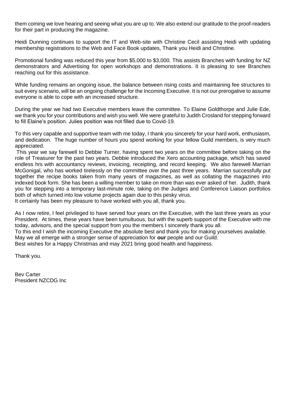them coming we love hearing and seeing what you are up to. We also extend our gratitude to the proof-readers for their part in producing the magazine.

Heidi Dunning continues to support the IT and Web-site with Christine Cecil assisting Heidi with updating membership registrations to the Web and Face Book updates, Thank you Heidi and Christine.

Promotional funding was reduced this year from \$5,000 to \$3,000. This assists Branches with funding for NZ demonstrators and Advertising for open workshops and demonstrations. It is pleasing to see Branches reaching out for this assistance.

While funding remains an ongoing issue, the balance between rising costs and maintaining fee structures to suit every scenario, will be an ongoing challenge for the Incoming Executive. It is not our prerogative to assume everyone is able to cope with an increased structure.

During the year we had two Executive members leave the committee. To Elaine Goldthorpe and Julie Ede, we thank you for your contributions and wish you well. We were grateful to Judith Crosland for stepping forward to fill Elaine's position. Julies position was not filled due to Covid-19.

To this very capable and supportive team with me today, I thank you sincerely for your hard work, enthusiasm, and dedication. The huge number of hours you spend working for your fellow Guild members, is very much appreciated.

This year we say farewell to Debbie Turner, having spent two years on the committee before taking on the role of Treasurer for the past two years. Debbie introduced the Xero accounting package, which has saved endless hrs with accountancy reviews, invoicing, receipting, and record keeping. We also farewell Marrian McGonigal, who has worked tirelessly on the committee over the past three years. Marrian successfully put together the recipe books taken from many years of magazines, as well as collating the magazines into indexed book form. She has been a willing member to take on more than was ever asked of her. Judith, thank you for stepping into a temporary last-minute role, taking on the Judges and Conference Liaison portfolios both of which turned into low volume projects again due to this pesky virus.

It certainly has been my pleasure to have worked with you all, thank you.

As I now retire, I feel privileged to have served four years on the Executive, with the last three years as your President. At times, these years have been tumultuous, but with the superb support of the Executive with me today, advisors, and the special support from you the members I sincerely thank you all.

To this end I wish the incoming Executive the absolute best and thank you for making yourselves available.

May we all emerge with a stronger sense of appreciation for **our** people and our Guild.

Best wishes for a Happy Christmas and may 2021 bring good health and happiness.

Thank you.

Bev Carter President NZCDG Inc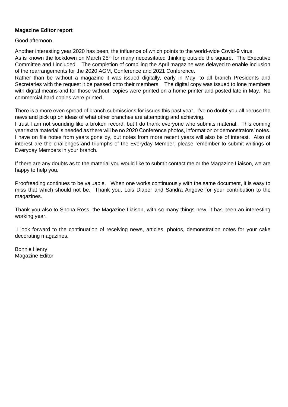#### **Magazine Editor report**

Good afternoon.

Another interesting year 2020 has been, the influence of which points to the world-wide Covid-9 virus. As is known the lockdown on March 25<sup>th</sup> for many necessitated thinking outside the square. The Executive Committee and I included. The completion of compiling the April magazine was delayed to enable inclusion of the rearrangements for the 2020 AGM, Conference and 2021 Conference.

Rather than be without a magazine it was issued digitally, early in May, to all branch Presidents and Secretaries with the request it be passed onto their members. The digital copy was issued to lone members with digital means and for those without, copies were printed on a home printer and posted late in May. No commercial hard copies were printed.

There is a more even spread of branch submissions for issues this past year. I've no doubt you all peruse the news and pick up on ideas of what other branches are attempting and achieving.

I trust I am not sounding like a broken record, but I do thank everyone who submits material. This coming year extra material is needed as there will be no 2020 Conference photos, information or demonstrators' notes. I have on file notes from years gone by, but notes from more recent years will also be of interest. Also of interest are the challenges and triumphs of the Everyday Member, please remember to submit writings of Everyday Members in your branch.

If there are any doubts as to the material you would like to submit contact me or the Magazine Liaison, we are happy to help you.

Proofreading continues to be valuable. When one works continuously with the same document, it is easy to miss that which should not be. Thank you, Lois Diaper and Sandra Angove for your contribution to the magazines.

Thank you also to Shona Ross, the Magazine Liaison, with so many things new, it has been an interesting working year.

I look forward to the continuation of receiving news, articles, photos, demonstration notes for your cake decorating magazines.

Bonnie Henry Magazine Editor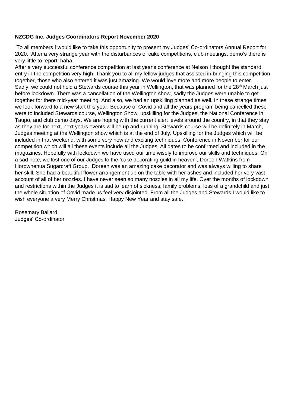#### **NZCDG Inc. Judges Coordinators Report November 2020**

To all members I would like to take this opportunity to present my Judges' Co-ordinators Annual Report for 2020. After a very strange year with the disturbances of cake competitions, club meetings, demo's there is very little to report, haha.

After a very successful conference competition at last year's conference at Nelson I thought the standard entry in the competition very high. Thank you to all my fellow judges that assisted in bringing this competition together, those who also entered it was just amazing. We would love more and more people to enter. Sadly, we could not hold a Stewards course this year in Wellington, that was planned for the 28<sup>th</sup> March just before lockdown. There was a cancellation of the Wellington show, sadly the Judges were unable to get together for there mid-year meeting. And also, we had an upskilling planned as well. In these strange times we look forward to a new start this year. Because of Covid and all the years program being cancelled these were to included Stewards course, Wellington Show, upskilling for the Judges, the National Conference in Taupo, and club demo days. We are hoping with the current alert levels around the country, in that they stay as they are for next, next years events will be up and running. Stewards course will be definitely in March, Judges meeting at the Wellington show which is at the end of July. Upskilling for the Judges which will be included in that weekend, with some very new and exciting techniques. Conference in November for our competition which will all these events include all the Judges. All dates to be confirmed and included in the magazines. Hopefully with lockdown we have used our time wisely to improve our skills and techniques. On a sad note, we lost one of our Judges to the 'cake decorating guild in heaven', Doreen Watkins from Horowhenua Sugarcraft Group. Doreen was an amazing cake decorator and was always willing to share her skill. She had a beautiful flower arrangement up on the table with her ashes and included her very vast account of all of her nozzles. I have never seen so many nozzles in all my life. Over the months of lockdown and restrictions within the Judges it is sad to learn of sickness, family problems, loss of a grandchild and just the whole situation of Covid made us feel very disjointed. From all the Judges and Stewards I would like to wish everyone a very Merry Christmas, Happy New Year and stay safe.

Rosemary Ballard Judges' Co-ordinator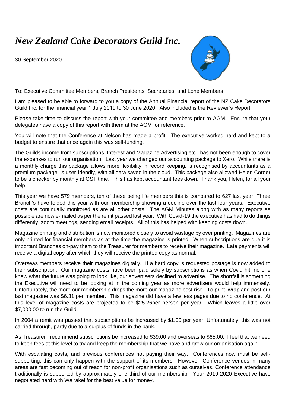# *New Zealand Cake Decorators Guild Inc.*

30 September 2020



To: Executive Committee Members, Branch Presidents, Secretaries, and Lone Members

I am pleased to be able to forward to you a copy of the Annual Financial report of the NZ Cake Decorators Guild Inc. for the financial year 1 July 2019 to 30 June 2020. Also included is the Reviewer's Report.

Please take time to discuss the report with your committee and members prior to AGM. Ensure that your delegates have a copy of this report with them at the AGM for reference.

You will note that the Conference at Nelson has made a profit. The executive worked hard and kept to a budget to ensure that once again this was self-funding.

The Guilds income from subscriptions, Interest and Magazine Advertising etc., has not been enough to cover the expenses to run our organisation. Last year we changed our accounting package to Xero. While there is a monthly charge this package allows more flexibility in record keeping, is recognised by accountants as a premium package, is user-friendly, with all data saved in the cloud. This package also allowed Helen Corder to be a checker by monthly at GST time. This has kept accountant fees down. Thank you, Helen, for all your help.

This year we have 579 members, ten of these being life members this is compared to 627 last year. Three Branch's have folded this year with our membership showing a decline over the last four years. Executive costs are continually monitored as are all other costs. The AGM Minutes along with as many reports as possible are now e-mailed as per the remit passed last year. With Covid-19 the executive has had to do things differently, zoom meetings, sending email receipts. All of this has helped with keeping costs down.

Magazine printing and distribution is now monitored closely to avoid wastage by over printing. Magazines are only printed for financial members as at the time the magazine is printed. When subscriptions are due it is important Branches on-pay them to the Treasurer for members to receive their magazine. Late payments will receive a digital copy after which they will receive the printed copy as normal.

Overseas members receive their magazines digitally. If a hard copy is requested postage is now added to their subscription. Our magazine costs have been paid solely by subscriptions as when Covid hit, no one knew what the future was going to look like, our advertisers declined to advertise. The shortfall is something the Executive will need to be looking at in the coming year as more advertisers would help immensely. Unfortunately, the more our membership drops the more our magazine cost rise. To print, wrap and post our last magazine was \$6.31 per member. This magazine did have a few less pages due to no conference. At this level of magazine costs are projected to be \$25.26per person per year. Which leaves a little over \$7,000.00 to run the Guild.

In 2004 a remit was passed that subscriptions be increased by \$1.00 per year. Unfortunately, this was not carried through, partly due to a surplus of funds in the bank.

As Treasurer I recommend subscriptions be increased to \$39.00 and overseas to \$65.00. I feel that we need to keep fees at this level to try and keep the membership that we have and grow our organisation again.

With escalating costs, and previous conferences not paying their way. Conferences now must be selfsupporting; this can only happen with the support of its members. However, Conference venues in many areas are fast becoming out of reach for non-profit organisations such as ourselves. Conference attendance traditionally is supported by approximately one third of our membership. Your 2019-2020 Executive have negotiated hard with Wairakei for the best value for money.